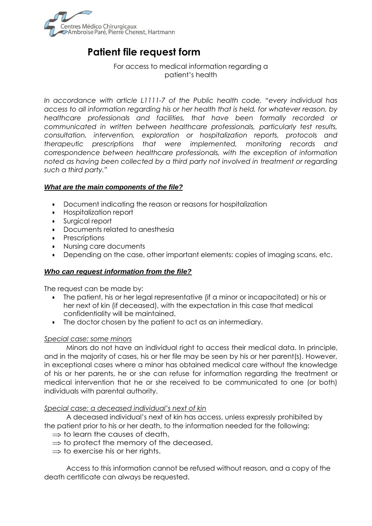

# **Patient file request form**

For access to medical information regarding a patient's health

*In accordance with article L1111-7 of the Public health code, "every individual has access to all information regarding his or her health that is held, for whatever reason, by healthcare professionals and facilities, that have been formally recorded or communicated in written between healthcare professionals, particularly test results, consultation, intervention, exploration or hospitalization reports, protocols and therapeutic prescriptions that were implemented, monitoring records and correspondence between healthcare professionals, with the exception of information noted as having been collected by a third party not involved in treatment or regarding such a third party."*

## *What are the main components of the file?*

- Document indicating the reason or reasons for hospitalization
- Hospitalization report
- Surgical report
- Documents related to anesthesia
- **Prescriptions**
- Nursing care documents
- Depending on the case, other important elements: copies of imaging scans, etc.

#### *Who can request information from the file?*

The request can be made by:

- The patient, his or her legal representative (if a minor or incapacitated) or his or her next of kin (if deceased), with the expectation in this case that medical confidentiality will be maintained,
- The doctor chosen by the patient to act as an intermediary.

#### *Special case: some minors*

Minors do not have an individual right to access their medical data. In principle, and in the majority of cases, his or her file may be seen by his or her parent(s). However, in exceptional cases where a minor has obtained medical care without the knowledge of his or her parents, he or she can refuse for information regarding the treatment or medical intervention that he or she received to be communicated to one (or both) individuals with parental authority.

#### *Special case: a deceased individual's next of kin*

A deceased individual's next of kin has access, unless expressly prohibited by the patient prior to his or her death, to the information needed for the following:

- $\Rightarrow$  to learn the causes of death,
- $\Rightarrow$  to protect the memory of the deceased,
- $\Rightarrow$  to exercise his or her rights.

Access to this information cannot be refused without reason, and a copy of the death certificate can always be requested.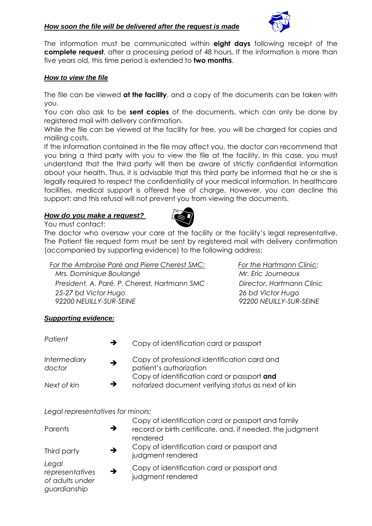

The information must be communicated within **eight days** following receipt of the **complete request**, after a processing period of 48 hours. If the information is more than five years old, this time period is extended to **two months**.

## *How to view the file*

The file can be viewed **at the facility**, and a copy of the documents can be taken with you.

You can also ask to be **sent copies** of the documents, which can only be done by registered mail with delivery confirmation.

While the file can be viewed at the facility for free, you will be charged for copies and mailing costs.

If the information contained in the file may affect you, the doctor can recommend that you bring a third party with you to view the file at the facility. In this case, you must understand that the third party will then be aware of strictly confidential information about your health. Thus, it is advisable that this third party be informed that he or she is legally required to respect the confidentiality of your medical information. In healthcare facilities, medical support is offered free of charge. However, you can decline this support: and this refusal will not prevent you from viewing the documents.

### *How do you make a request?*



You must contact: The doctor who oversaw your care at the facility or the facility's legal representative. The Patient file request form must be sent by registered mail with delivery confirmation (accompanied by supporting evidence) to the following address:

*For the Ambroise Paré and Pierre Cherest SMC: For the Hartmann Clinic: Mrs. Dominique Boulangé Mr. Eric Journeaux President, A. Paré, P. Cherest, Hartmann SMC Director, Hartmann Clinic 25-27 bd Victor Hugo 26 bd Victor Hugo 92200 NEUILLY-SUR-SEINE 92200 NEUILLY-SUR-SEINE*

## *Supporting evidence:*

| Patient                       | $\rightarrow$ | Copy of identification card or passport                                                           |
|-------------------------------|---------------|---------------------------------------------------------------------------------------------------|
| <b>Intermediary</b><br>doctor | $\rightarrow$ | Copy of professional identification card and<br>patient's authorization                           |
| Next of kin                   | $\rightarrow$ | Copy of identification card or passport and<br>notarized document verifying status as next of kin |

#### *Legal representatives for minors:*

| Parents                                                     | → | Copy of identification card or passport and family<br>record or birth certificate, and, if needed, the judgment<br>rendered |
|-------------------------------------------------------------|---|-----------------------------------------------------------------------------------------------------------------------------|
| Third party                                                 | → | Copy of identification card or passport and<br>judgment rendered                                                            |
| Legal<br>representatives<br>of adults under<br>guardianship | → | Copy of identification card or passport and<br>judgment rendered                                                            |